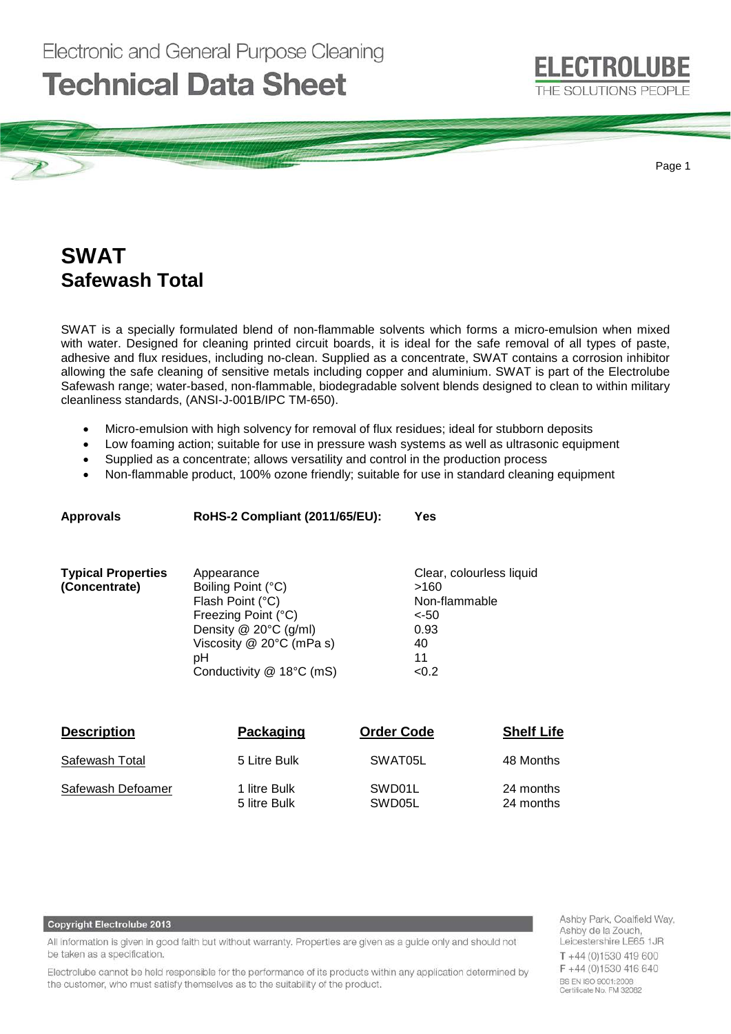

Page 1

# **SWAT Safewash Total**

SWAT is a specially formulated blend of non-flammable solvents which forms a micro-emulsion when mixed with water. Designed for cleaning printed circuit boards, it is ideal for the safe removal of all types of paste, adhesive and flux residues, including no-clean. Supplied as a concentrate, SWAT contains a corrosion inhibitor allowing the safe cleaning of sensitive metals including copper and aluminium. SWAT is part of the Electrolube Safewash range; water-based, non-flammable, biodegradable solvent blends designed to clean to within military cleanliness standards, (ANSI-J-001B/IPC TM-650).

- Micro-emulsion with high solvency for removal of flux residues; ideal for stubborn deposits
- Low foaming action; suitable for use in pressure wash systems as well as ultrasonic equipment
- Supplied as a concentrate; allows versatility and control in the production process
- Non-flammable product, 100% ozone friendly; suitable for use in standard cleaning equipment

| <b>Approvals</b>          | RoHS-2 Compliant (2011/65/EU): | Yes                      |
|---------------------------|--------------------------------|--------------------------|
| <b>Typical Properties</b> | Appearance                     | Clear, colourless liquid |
| (Concentrate)             | Boiling Point (°C)             | >160                     |
|                           | Flash Point (°C)               | Non-flammable            |
|                           | Freezing Point (°C)            | $<$ -50                  |
|                           | Density @ 20°C (g/ml)          | 0.93                     |
|                           | Viscosity $@$ 20 $°C$ (mPa s)  | 40                       |
|                           | рH                             | 11                       |
|                           | Conductivity @ 18°C (mS)       | < 0.2                    |
|                           |                                |                          |

| <b>Description</b> | Packaging                    | <b>Order Code</b> | <b>Shelf Life</b>      |
|--------------------|------------------------------|-------------------|------------------------|
| Safewash Total     | 5 Litre Bulk                 | SWAT05L           | 48 Months              |
| Safewash Defoamer  | 1 litre Bulk<br>5 litre Bulk | SWD01L<br>SWD05L  | 24 months<br>24 months |

### **Copyright Electrolube 2013**

All information is given in good faith but without warranty. Properties are given as a guide only and should not be taken as a specification.

Electrolube cannot be held responsible for the performance of its products within any application determined by the customer, who must satisfy themselves as to the suitability of the product.

Ashby Park, Coalfield Way, Ashby de la Zouch, Leicestershire LE65 1JR T+44 (0)1530 419 600 F +44 (0)1530 416 640 BS EN ISO 9001:2008<br>Certificate No. FM 32082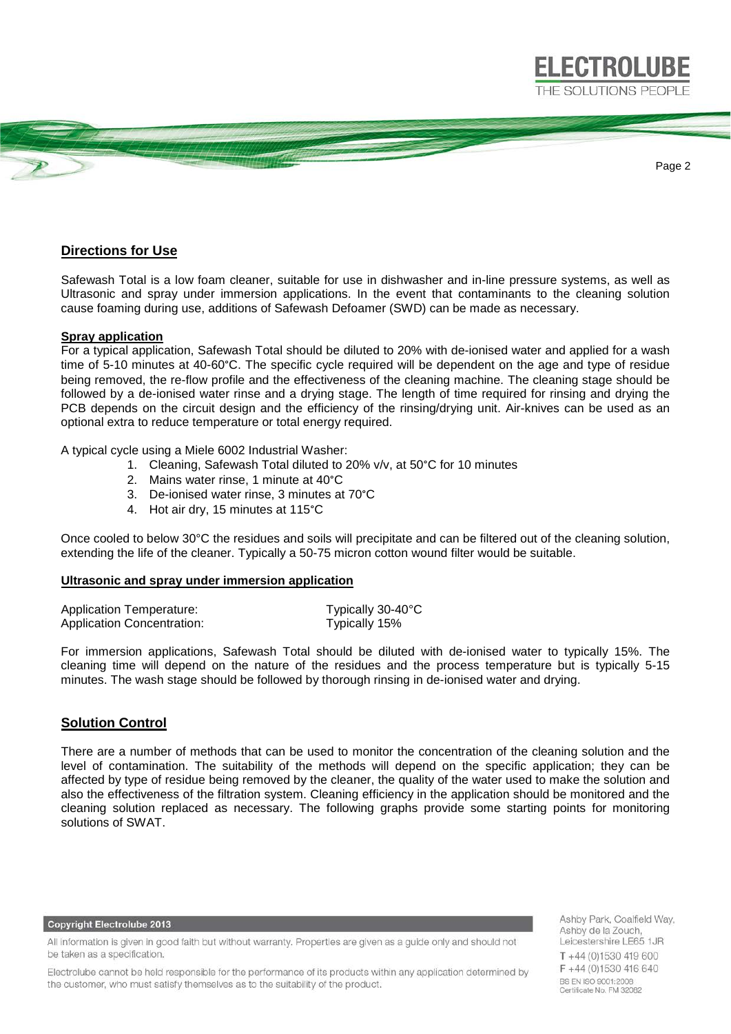

# **Directions for Use**

Safewash Total is a low foam cleaner, suitable for use in dishwasher and in-line pressure systems, as well as Ultrasonic and spray under immersion applications. In the event that contaminants to the cleaning solution cause foaming during use, additions of Safewash Defoamer (SWD) can be made as necessary.

#### **Spray application**

For a typical application, Safewash Total should be diluted to 20% with de-ionised water and applied for a wash time of 5-10 minutes at 40-60°C. The specific cycle required will be dependent on the age and type of residue being removed, the re-flow profile and the effectiveness of the cleaning machine. The cleaning stage should be followed by a de-ionised water rinse and a drying stage. The length of time required for rinsing and drying the PCB depends on the circuit design and the efficiency of the rinsing/drying unit. Air-knives can be used as an optional extra to reduce temperature or total energy required.

A typical cycle using a Miele 6002 Industrial Washer:

- 1. Cleaning, Safewash Total diluted to 20% v/v, at 50°C for 10 minutes
- 2. Mains water rinse, 1 minute at 40°C
- 3. De-ionised water rinse, 3 minutes at 70°C
- 4. Hot air dry, 15 minutes at 115°C

Once cooled to below 30°C the residues and soils will precipitate and can be filtered out of the cleaning solution, extending the life of the cleaner. Typically a 50-75 micron cotton wound filter would be suitable.

### **Ultrasonic and spray under immersion application**

| <b>Application Temperature:</b> | Typically 30-40°C |
|---------------------------------|-------------------|
| Application Concentration:      | Typically 15%     |

For immersion applications, Safewash Total should be diluted with de-ionised water to typically 15%. The cleaning time will depend on the nature of the residues and the process temperature but is typically 5-15 minutes. The wash stage should be followed by thorough rinsing in de-ionised water and drying.

## **Solution Control**

There are a number of methods that can be used to monitor the concentration of the cleaning solution and the level of contamination. The suitability of the methods will depend on the specific application; they can be affected by type of residue being removed by the cleaner, the quality of the water used to make the solution and also the effectiveness of the filtration system. Cleaning efficiency in the application should be monitored and the cleaning solution replaced as necessary. The following graphs provide some starting points for monitoring solutions of SWAT.

**Copyright Electrolube 2013** 

All information is given in good faith but without warranty. Properties are given as a guide only and should not be taken as a specification.

Electrolube cannot be held responsible for the performance of its products within any application determined by the customer, who must satisfy themselves as to the suitability of the product.

Ashby Park, Coalfield Way, Ashby de la Zouch, Leicestershire LE65 1JR T+44 (0)1530 419 600 F+44 (0)1530 416 640 BS EN ISO 9001:2008 Certificate No. FM 32082

**ELECTROLUBE**